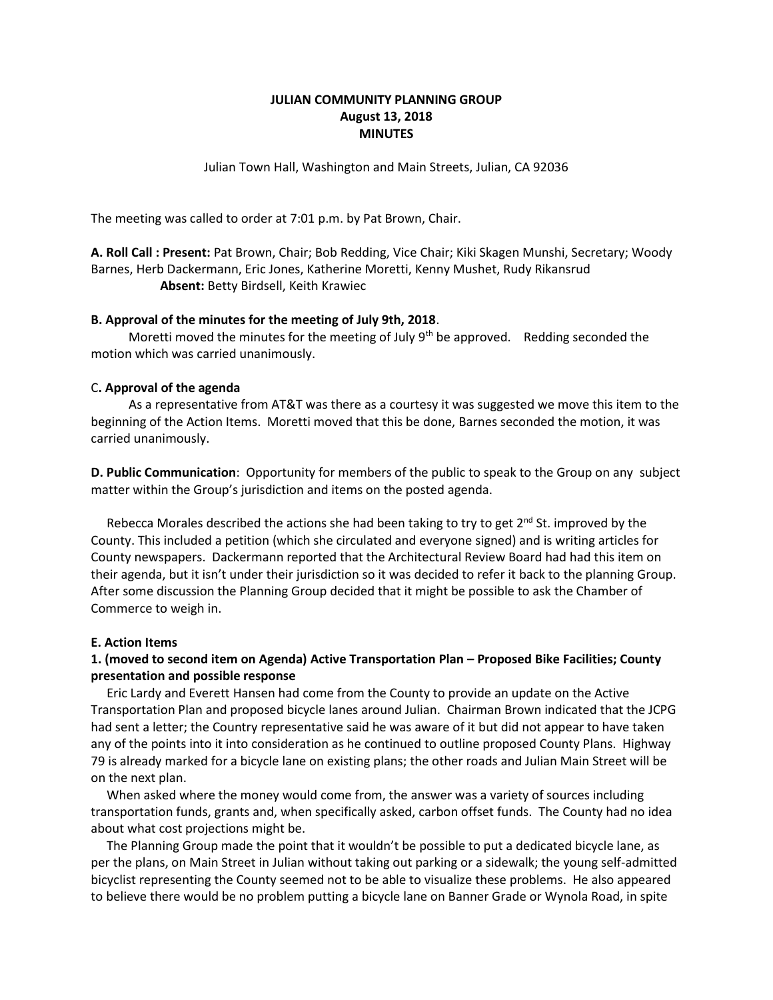## **JULIAN COMMUNITY PLANNING GROUP August 13, 2018 MINUTES**

Julian Town Hall, Washington and Main Streets, Julian, CA 92036

The meeting was called to order at 7:01 p.m. by Pat Brown, Chair.

**A. Roll Call : Present:** Pat Brown, Chair; Bob Redding, Vice Chair; Kiki Skagen Munshi, Secretary; Woody Barnes, Herb Dackermann, Eric Jones, Katherine Moretti, Kenny Mushet, Rudy Rikansrud **Absent:** Betty Birdsell, Keith Krawiec

#### **B. Approval of the minutes for the meeting of July 9th, 2018**.

Moretti moved the minutes for the meeting of July  $9<sup>th</sup>$  be approved. Redding seconded the motion which was carried unanimously.

### C**. Approval of the agenda**

 As a representative from AT&T was there as a courtesy it was suggested we move this item to the beginning of the Action Items. Moretti moved that this be done, Barnes seconded the motion, it was carried unanimously.

**D. Public Communication**: Opportunity for members of the public to speak to the Group on any subject matter within the Group's jurisdiction and items on the posted agenda.

Rebecca Morales described the actions she had been taking to try to get  $2^{nd}$  St. improved by the County. This included a petition (which she circulated and everyone signed) and is writing articles for County newspapers. Dackermann reported that the Architectural Review Board had had this item on their agenda, but it isn't under their jurisdiction so it was decided to refer it back to the planning Group. After some discussion the Planning Group decided that it might be possible to ask the Chamber of Commerce to weigh in.

#### **E. Action Items**

# **1. (moved to second item on Agenda) Active Transportation Plan – Proposed Bike Facilities; County presentation and possible response**

Eric Lardy and Everett Hansen had come from the County to provide an update on the Active Transportation Plan and proposed bicycle lanes around Julian. Chairman Brown indicated that the JCPG had sent a letter; the Country representative said he was aware of it but did not appear to have taken any of the points into it into consideration as he continued to outline proposed County Plans. Highway 79 is already marked for a bicycle lane on existing plans; the other roads and Julian Main Street will be on the next plan.

 When asked where the money would come from, the answer was a variety of sources including transportation funds, grants and, when specifically asked, carbon offset funds. The County had no idea about what cost projections might be.

 The Planning Group made the point that it wouldn't be possible to put a dedicated bicycle lane, as per the plans, on Main Street in Julian without taking out parking or a sidewalk; the young self-admitted bicyclist representing the County seemed not to be able to visualize these problems. He also appeared to believe there would be no problem putting a bicycle lane on Banner Grade or Wynola Road, in spite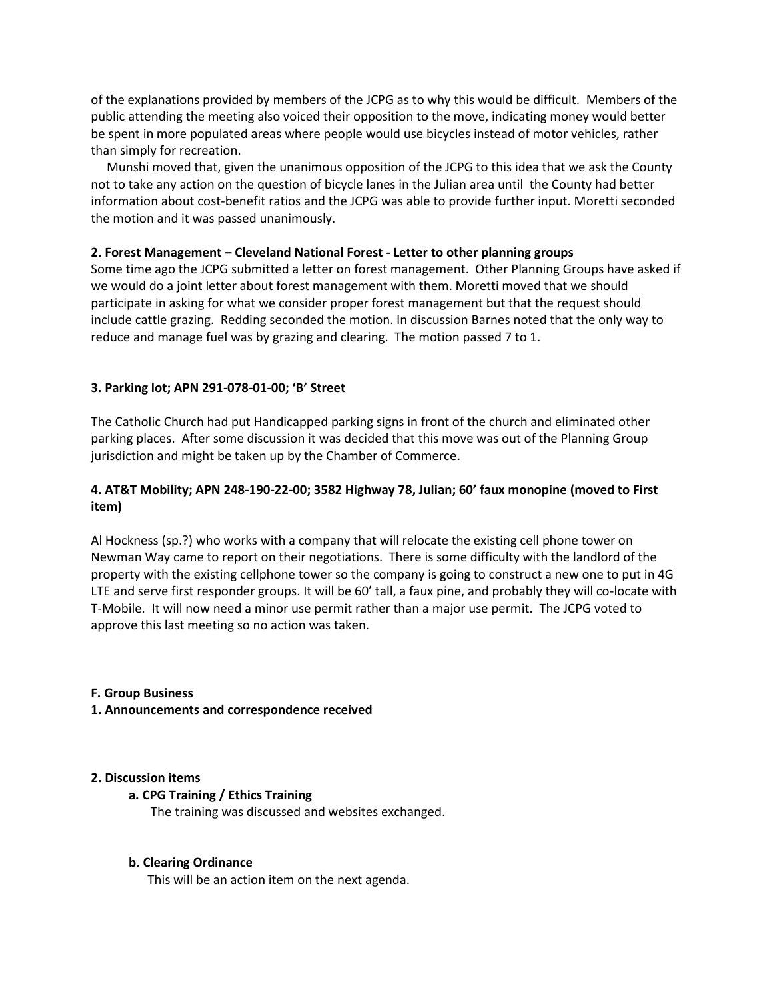of the explanations provided by members of the JCPG as to why this would be difficult. Members of the public attending the meeting also voiced their opposition to the move, indicating money would better be spent in more populated areas where people would use bicycles instead of motor vehicles, rather than simply for recreation.

 Munshi moved that, given the unanimous opposition of the JCPG to this idea that we ask the County not to take any action on the question of bicycle lanes in the Julian area until the County had better information about cost-benefit ratios and the JCPG was able to provide further input. Moretti seconded the motion and it was passed unanimously.

### **2. Forest Management – Cleveland National Forest - Letter to other planning groups**

Some time ago the JCPG submitted a letter on forest management. Other Planning Groups have asked if we would do a joint letter about forest management with them. Moretti moved that we should participate in asking for what we consider proper forest management but that the request should include cattle grazing. Redding seconded the motion. In discussion Barnes noted that the only way to reduce and manage fuel was by grazing and clearing. The motion passed 7 to 1.

# **3. Parking lot; APN 291-078-01-00; 'B' Street**

The Catholic Church had put Handicapped parking signs in front of the church and eliminated other parking places. After some discussion it was decided that this move was out of the Planning Group jurisdiction and might be taken up by the Chamber of Commerce.

# **4. AT&T Mobility; APN 248-190-22-00; 3582 Highway 78, Julian; 60' faux monopine (moved to First item)**

Al Hockness (sp.?) who works with a company that will relocate the existing cell phone tower on Newman Way came to report on their negotiations. There is some difficulty with the landlord of the property with the existing cellphone tower so the company is going to construct a new one to put in 4G LTE and serve first responder groups. It will be 60' tall, a faux pine, and probably they will co-locate with T-Mobile. It will now need a minor use permit rather than a major use permit. The JCPG voted to approve this last meeting so no action was taken.

### **F. Group Business**

### **1. Announcements and correspondence received**

### **2. Discussion items**

# **a. CPG Training / Ethics Training**

The training was discussed and websites exchanged.

### **b. Clearing Ordinance**

This will be an action item on the next agenda.